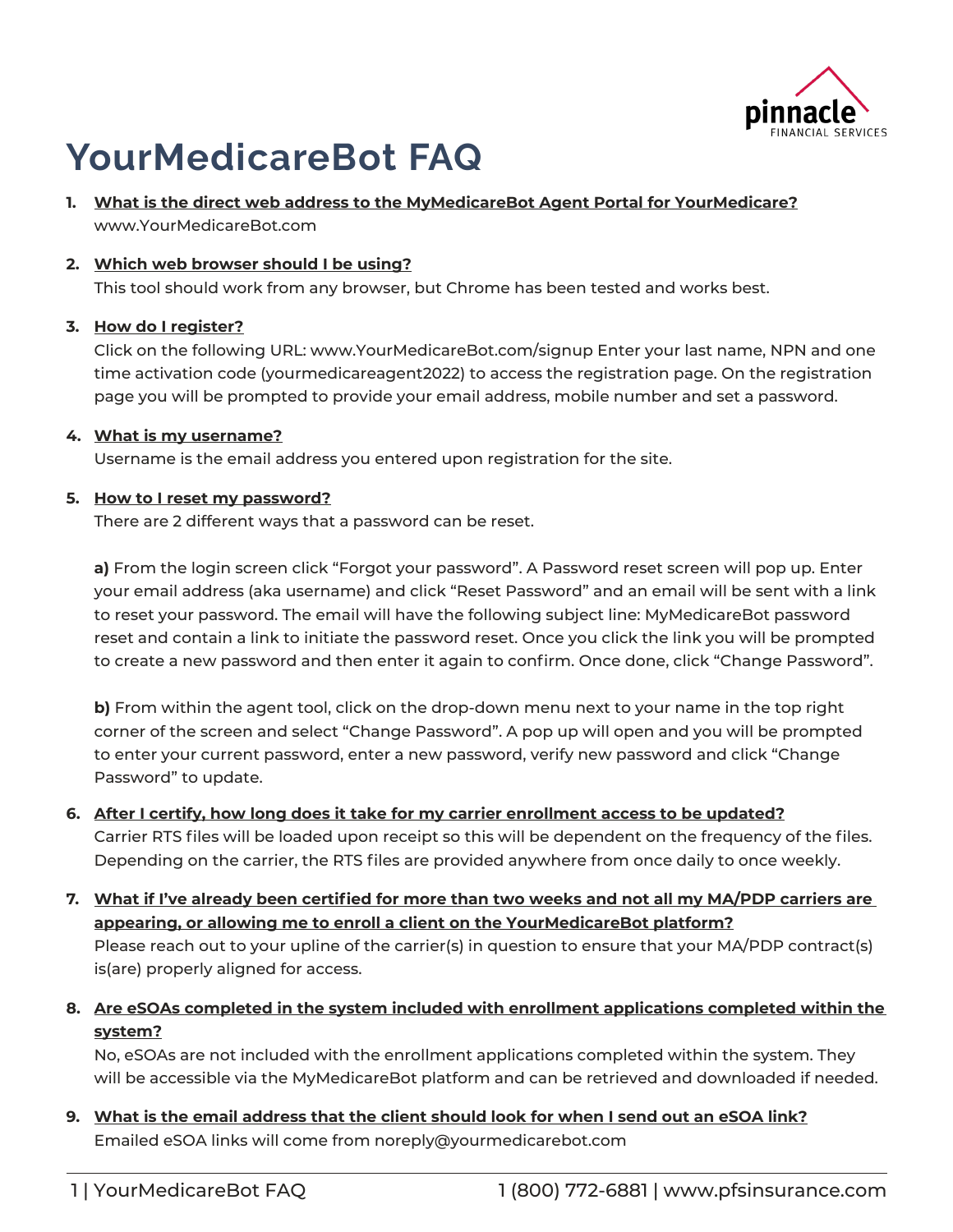

# **YourMedicareBot FAQ**

### **1. What is the direct web address to the MyMedicareBot Agent Portal for YourMedicare?** www.YourMedicareBot.com

# **2. Which web browser should I be using?**

This tool should work from any browser, but Chrome has been tested and works best.

# **3. How do I register?**

Click on the following URL: www.YourMedicareBot.com/signup Enter your last name, NPN and one time activation code (yourmedicareagent2022) to access the registration page. On the registration page you will be prompted to provide your email address, mobile number and set a password.

### **4. What is my username?**

Username is the email address you entered upon registration for the site.

### **5. How to I reset my password?**

There are 2 different ways that a password can be reset.

**a)** From the login screen click "Forgot your password". A Password reset screen will pop up. Enter your email address (aka username) and click "Reset Password" and an email will be sent with a link to reset your password. The email will have the following subject line: MyMedicareBot password reset and contain a link to initiate the password reset. Once you click the link you will be prompted to create a new password and then enter it again to confirm. Once done, click "Change Password".

**b)** From within the agent tool, click on the drop-down menu next to your name in the top right corner of the screen and select "Change Password". A pop up will open and you will be prompted to enter your current password, enter a new password, verify new password and click "Change Password" to update.

# **6. After I certify, how long does it take for my carrier enrollment access to be updated?**

Carrier RTS files will be loaded upon receipt so this will be dependent on the frequency of the files. Depending on the carrier, the RTS files are provided anywhere from once daily to once weekly.

- **7. What if I've already been certified for more than two weeks and not all my MA/PDP carriers are appearing, or allowing me to enroll a client on the YourMedicareBot platform?** Please reach out to your upline of the carrier(s) in question to ensure that your MA/PDP contract(s) is(are) properly aligned for access.
- **8. Are eSOAs completed in the system included with enrollment applications completed within the system?**

No, eSOAs are not included with the enrollment applications completed within the system. They will be accessible via the MyMedicareBot platform and can be retrieved and downloaded if needed.

**9. What is the email address that the client should look for when I send out an eSOA link?** Emailed eSOA links will come from noreply@yourmedicarebot.com